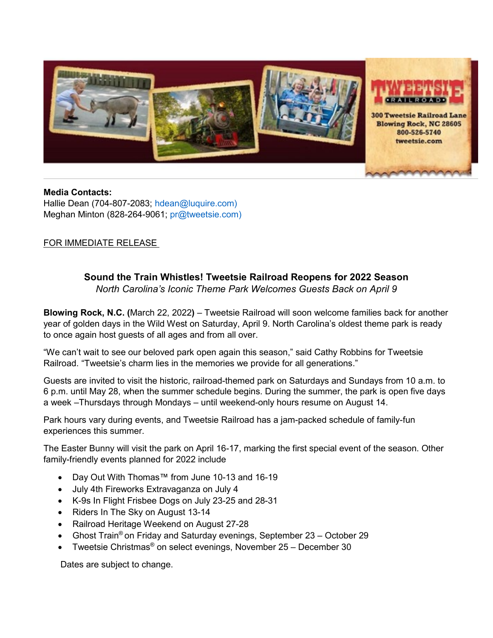

**Media Contacts:** Hallie Dean (704-807-2083; [hdean@luquire.com\)](mailto:hdean@luquire.com) Meghan Minton (828-264-9061; [pr@tweetsie.com\)](mailto:pr@tweetsie.com))

## FOR IMMEDIATE RELEASE

## **Sound the Train Whistles! Tweetsie Railroad Reopens for 2022 Season** *North Carolina's Iconic Theme Park Welcomes Guests Back on April 9*

**Blowing Rock, N.C. (**March 22, 2022**)** – [Tweetsie Railroad](https://tweetsie.com/) will soon welcome families back for another year of golden days in the Wild West on Saturday, April 9. North Carolina's oldest theme park is ready to once again host guests of all ages and from all over.

"We can't wait to see our beloved park open again this season," said Cathy Robbins for Tweetsie Railroad. "Tweetsie's charm lies in the memories we provide for all generations."

Guests are invited to visit the historic, railroad-themed park on Saturdays and Sundays from 10 a.m. to 6 p.m. until May 28, when the summer schedule begins. During the summer, the park is open five days a week –Thursdays through Mondays – until weekend-only hours resume on August 14.

Park hours vary during events, and Tweetsie Railroad has a jam-packed schedule of family-fun experiences this summer.

The Easter Bunny will visit the park on April 16-17, marking the first special event of the season. Other family-friendly events planned for 2022 include

- Day Out With Thomas™ from June 10-13 and 16-19
- July 4th Fireworks Extravaganza on July 4
- K-9s In Flight Frisbee Dogs on July 23-25 and 28-31
- Riders In The Sky on August 13-14
- Railroad Heritage Weekend on August 27-28
- Ghost Train<sup>®</sup> on Friday and Saturday evenings, September 23 October 29
- Tweetsie Christmas® on select evenings, November 25 December 30

Dates are subject to change.